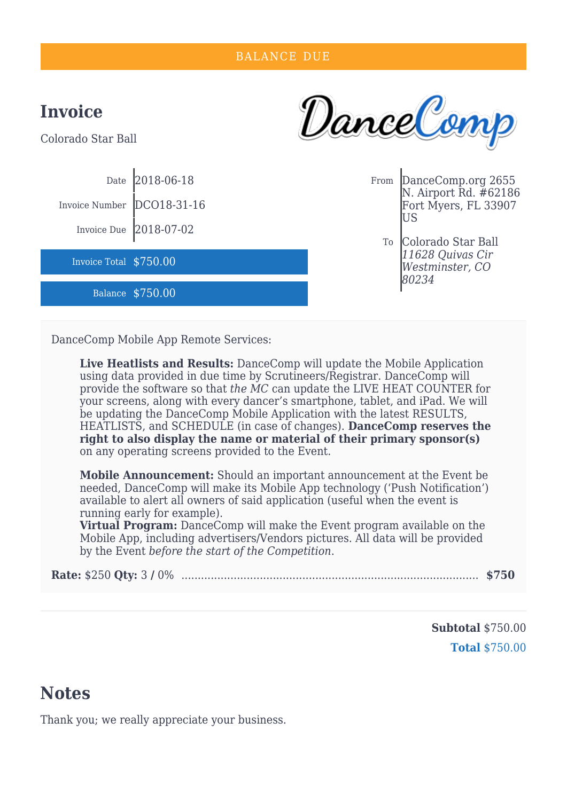

DanceComp Mobile App Remote Services:

**Live Heatlists and Results:** DanceComp will update the Mobile Application using data provided in due time by Scrutineers/Registrar. DanceComp will provide the software so that *the MC* can update the LIVE HEAT COUNTER for your screens, along with every dancer's smartphone, tablet, and iPad. We will be updating the DanceComp Mobile Application with the latest RESULTS, HEATLISTS, and SCHEDULE (in case of changes). **DanceComp reserves the right to also display the name or material of their primary sponsor(s)** on any operating screens provided to the Event.

**Mobile Announcement:** Should an important announcement at the Event be needed, DanceComp will make its Mobile App technology ('Push Notification') available to alert all owners of said application (useful when the event is running early for example).

**Virtual Program:** DanceComp will make the Event program available on the Mobile App, including advertisers/Vendors pictures. All data will be provided by the Event *before the start of the Competition*.

|--|--|--|

**Subtotal** \$750.00 **Total** \$750.00

## **Notes**

Thank you; we really appreciate your business.